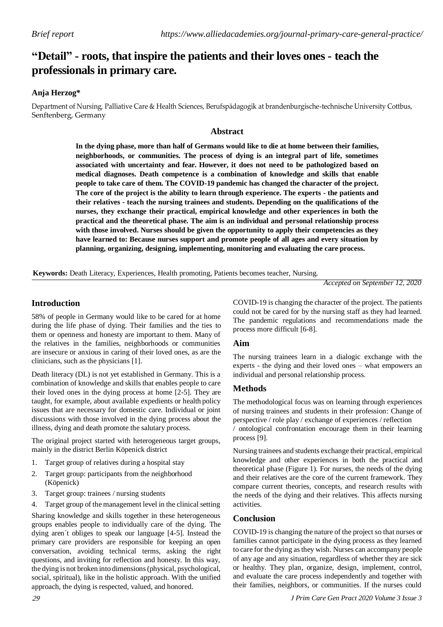# **"Detail" - roots, that inspire the patients and their loves ones - teach the professionals in primary care.**

## **Anja Herzog\***

Department of Nursing, Palliative Care & Health Sciences, Berufspädagogik at brandenburgische-technische University Cottbus, Senftenberg, Germany

## **Abstract**

**In the dying phase, more than half of Germans would like to die at home between their families, neighborhoods, or communities. The process of dying is an integral part of life, sometimes associated with uncertainty and fear. However, it does not need to be pathologized based on medical diagnoses. Death competence is a combination of knowledge and skills that enable people to take care of them. The COVID-19 pandemic has changed the character of the project. The core of the project is the ability to learn through experience. The experts - the patients and their relatives - teach the nursing trainees and students. Depending on the qualifications of the nurses, they exchange their practical, empirical knowledge and other experiences in both the practical and the theoretical phase. The aim is an individual and personal relationship process with those involved. Nurses should be given the opportunity to apply their competencies as they have learned to: Because nurses support and promote people of all ages and every situation by planning, organizing, designing, implementing, monitoring and evaluating the care process.**

**Keywords:** Death Literacy, Experiences, Health promoting, Patients becomes teacher, Nursing.

*Accepted on September 12, 2020*

## **Introduction**

58% of people in Germany would like to be cared for at home during the life phase of dying. Their families and the ties to them or openness and honesty are important to them. Many of the relatives in the families, neighborhoods or communities are insecure or anxious in caring of their loved ones, as are the clinicians, such as the physicians [1].

Death literacy (DL) is not yet established in Germany. This is a combination of knowledge and skills that enables people to care their loved ones in the dying process at home [2-5]. They are taught, for example, about available expedients or health policy issues that are necessary for domestic care. Individual or joint discussions with those involved in the dying process about the illness, dying and death promote the salutary process.

The original project started with heterogeneous target groups, mainly in the district Berlin Köpenick district

- 1. Target group of relatives during a hospital stay
- 2. Target group: participants from the neighborhood (Köpenick)
- 3. Target group: trainees / nursing students
- 4. Target group of the management level in the clinical setting

Sharing knowledge and skills together in these heterogeneous groups enables people to individually care of the dying. The dying aren´t obliges to speak our language [4-5]. Instead the primary care providers are responsible for keeping an open conversation, avoiding technical terms, asking the right questions, and inviting for reflection and honesty. In this way, the dying is not broken into dimensions(physical, psychological, social, spiritual), like in the holistic approach. With the unified approach, the dying is respected, valued, and honored.

COVID-19 is changing the character of the project. The patients could not be cared for by the nursing staff as they had learned. The pandemic regulations and recommendations made the process more difficult [6-8].

## **Aim**

The nursing trainees learn in a dialogic exchange with the experts - the dying and their loved ones – what empowers an individual and personal relationship process.

## **Methods**

The methodological focus was on learning through experiences of nursing trainees and students in their profession: Change of perspective / role play / exchange of experiences / reflection / ontological confrontation encourage them in their learning process [9].

Nursing trainees and students exchange their practical, empirical knowledge and other experiences in both the practical and theoretical phase (Figure 1). For nurses, the needs of the dying and their relatives are the core of the current framework. They compare current theories, concepts, and research results with the needs of the dying and their relatives. This affects nursing activities.

## **Conclusion**

COVID-19 is changing the nature of the project so that nurses or families cannot participate in the dying process as they learned to care for the dying asthey wish. Nurses can accompany people of any age and any situation, regardless of whether they are sick or healthy. They plan, organize, design, implement, control, and evaluate the care process independently and together with their families, neighbors, or communities. If the nurses could